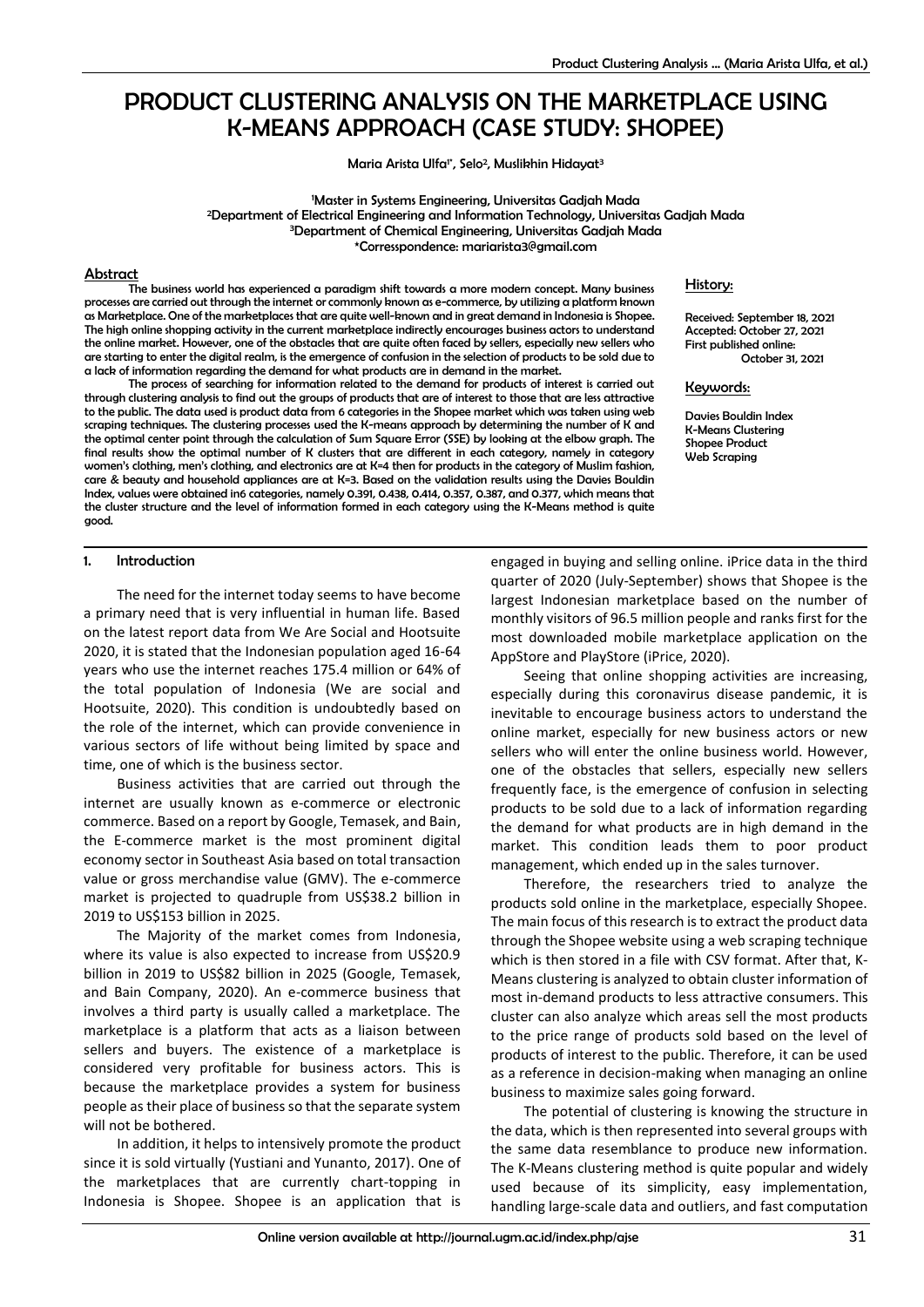# PRODUCT CLUSTERING ANALYSIS ON THE MARKETPLACE USING K-MEANS APPROACH (CASE STUDY: SHOPEE)

Maria Arista Ulfa<sup>r</sup>, Selo<sup>2</sup>, Muslikhin Hidayat<sup>3</sup>

Master in Systems Engineering, Universitas Gadjah Mada Department of Electrical Engineering and Information Technology, Universitas Gadjah Mada Department of Chemical Engineering, Universitas Gadjah Mada \*Corresspondence: mariarista3@gmail.com

## Abstract

The business world has experienced a paradigm shift towards a more modern concept. Many business processes are carried out through the internet or commonly known as e-commerce, by utilizing a platform known as Marketplace. One of the marketplaces that are quite well-known and in great demand in Indonesia is Shopee. The high online shopping activity in the current marketplace indirectly encourages business actors to understand the online market. However, one of the obstacles that are quite often faced by sellers, especially new sellers who are starting to enter the digital realm, is the emergence of confusion in the selection of products to be sold due to a lack of information regarding the demand for what products are in demand in the market.

The process of searching for information related to the demand for products of interest is carried out through clustering analysis to find out the groups of products that are of interest to those that are less attractive to the public. The data used is product data from 6 categories in the Shopee market which was taken using web scraping techniques. The clustering processes used the K-means approach by determining the number of K and the optimal center point through the calculation of Sum Square Error (SSE) by looking at the elbow graph. The final results show the optimal number of K clusters that are different in each category, namely in category women's clothing, men's clothing, and electronics are at K=4 then for products in the category of Muslim fashion, care & beauty and household appliances are at K=3. Based on the validation results using the Davies Bouldin Index, values were obtained in6 categories, namely 0.391, 0.438, 0.414, 0.357, 0.387, and 0.377, which means that the cluster structure and the level of information formed in each category using the K-Means method is quite good.

#### History:

Received: September 18, 2021 Accepted: October 27, 2021 First published online: October 31, 2021

Keywords:

Davies Bouldin Index K-Means Clustering Shopee Product Web Scraping

#### 1. Introduction

The need for the internet today seems to have become a primary need that is very influential in human life. Based on the latest report data from We Are Social and Hootsuite 2020, it is stated that the Indonesian population aged 16-64 years who use the internet reaches 175.4 million or 64% of the total population of Indonesia (We are social and Hootsuite, 2020). This condition is undoubtedly based on the role of the internet, which can provide convenience in various sectors of life without being limited by space and time, one of which is the business sector.

Business activities that are carried out through the internet are usually known as e-commerce or electronic commerce. Based on a report by Google, Temasek, and Bain, the E-commerce market is the most prominent digital economy sector in Southeast Asia based on total transaction value or gross merchandise value (GMV). The e-commerce market is projected to quadruple from US\$38.2 billion in 2019 to US\$153 billion in 2025.

The Majority of the market comes from Indonesia, where its value is also expected to increase from US\$20.9 billion in 2019 to US\$82 billion in 2025 (Google, Temasek, and Bain Company, 2020). An e-commerce business that involves a third party is usually called a marketplace. The marketplace is a platform that acts as a liaison between sellers and buyers. The existence of a marketplace is considered very profitable for business actors. This is because the marketplace provides a system for business people as their place of business so that the separate system will not be bothered.

In addition, it helps to intensively promote the product since it is sold virtually (Yustiani and Yunanto, 2017). One of the marketplaces that are currently chart-topping in Indonesia is Shopee. Shopee is an application that is engaged in buying and selling online. iPrice data in the third quarter of 2020 (July-September) shows that Shopee is the largest Indonesian marketplace based on the number of monthly visitors of 96.5 million people and ranks first for the most downloaded mobile marketplace application on the AppStore and PlayStore (iPrice, 2020).

Seeing that online shopping activities are increasing, especially during this coronavirus disease pandemic, it is inevitable to encourage business actors to understand the online market, especially for new business actors or new sellers who will enter the online business world. However, one of the obstacles that sellers, especially new sellers frequently face, is the emergence of confusion in selecting products to be sold due to a lack of information regarding the demand for what products are in high demand in the market. This condition leads them to poor product management, which ended up in the sales turnover.

Therefore, the researchers tried to analyze the products sold online in the marketplace, especially Shopee. The main focus of this research is to extract the product data through the Shopee website using a web scraping technique which is then stored in a file with CSV format. After that, K-Means clustering is analyzed to obtain cluster information of most in-demand products to less attractive consumers. This cluster can also analyze which areas sell the most products to the price range of products sold based on the level of products of interest to the public. Therefore, it can be used as a reference in decision-making when managing an online business to maximize sales going forward.

The potential of clustering is knowing the structure in the data, which is then represented into several groups with the same data resemblance to produce new information. The K-Means clustering method is quite popular and widely used because of its simplicity, easy implementation, handling large-scale data and outliers, and fast computation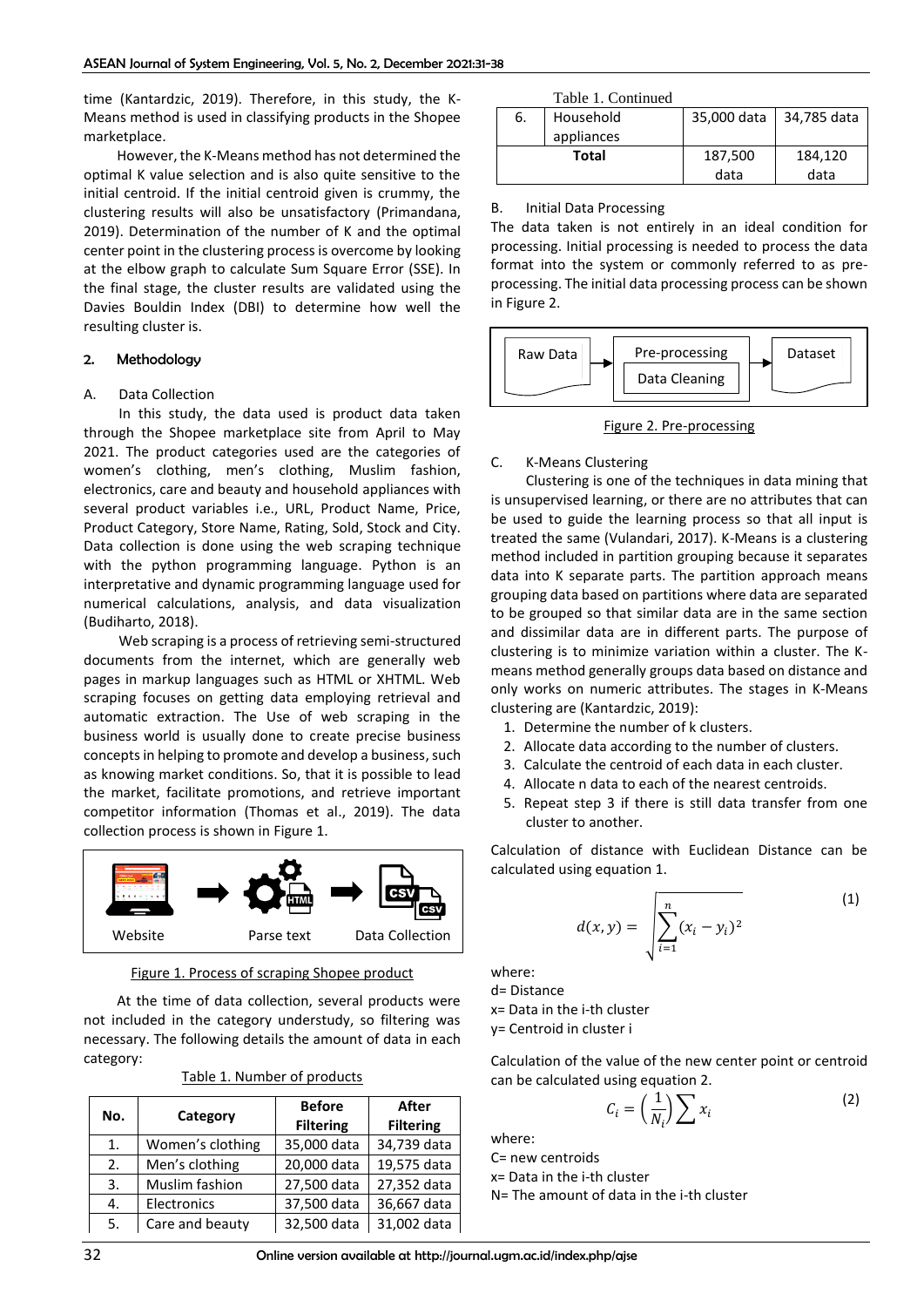time (Kantardzic, 2019). Therefore, in this study, the K-Means method is used in classifying products in the Shopee marketplace.

However, the K-Means method has not determined the optimal K value selection and is also quite sensitive to the initial centroid. If the initial centroid given is crummy, the clustering results will also be unsatisfactory (Primandana, 2019). Determination of the number of K and the optimal center point in the clustering process is overcome by looking at the elbow graph to calculate Sum Square Error (SSE). In the final stage, the cluster results are validated using the Davies Bouldin Index (DBI) to determine how well the resulting cluster is.

## 2. Methodology

#### A. Data Collection

In this study, the data used is product data taken through the Shopee marketplace site from April to May 2021. The product categories used are the categories of women's clothing, men's clothing, Muslim fashion, electronics, care and beauty and household appliances with several product variables i.e., URL, Product Name, Price, Product Category, Store Name, Rating, Sold, Stock and City. Data collection is done using the web scraping technique with the python programming language. Python is an interpretative and dynamic programming language used for numerical calculations, analysis, and data visualization (Budiharto, 2018).

Web scraping is a process of retrieving semi-structured documents from the internet, which are generally web pages in markup languages such as HTML or XHTML. Web scraping focuses on getting data employing retrieval and automatic extraction. The Use of web scraping in the business world is usually done to create precise business concepts in helping to promote and develop a business, such as knowing market conditions. So, that it is possible to lead the market, facilitate promotions, and retrieve important competitor information (Thomas et al., 2019). The data collection process is shown in Figure 1.



Figure 1. Process of scraping Shopee product

At the time of data collection, several products were not included in the category understudy, so filtering was necessary. The following details the amount of data in each category:

|--|

| No. | Category         | <b>Before</b><br><b>Filtering</b> | After<br><b>Filtering</b> |
|-----|------------------|-----------------------------------|---------------------------|
| 1.  | Women's clothing | 35,000 data                       | 34,739 data               |
| 2.  | Men's clothing   | 20,000 data                       | 19,575 data               |
| 3.  | Muslim fashion   | 27,500 data                       | 27,352 data               |
| 4.  | Electronics      | 37,500 data                       | 36,667 data               |
| 5.  | Care and beauty  | 32,500 data                       | 31,002 data               |

|       | Table 1. Continued |             |             |
|-------|--------------------|-------------|-------------|
| 6.    | Household          | 35,000 data | 34,785 data |
|       | appliances         |             |             |
| Total |                    | 187,500     | 184,120     |
|       |                    | data        | data        |

#### B. Initial Data Processing

The data taken is not entirely in an ideal condition for processing. Initial processing is needed to process the data format into the system or commonly referred to as preprocessing. The initial data processing process can be shown in Figure 2.



## Figure 2. Pre-processing

## C. K-Means Clustering

Clustering is one of the techniques in data mining that is unsupervised learning, or there are no attributes that can be used to guide the learning process so that all input is treated the same (Vulandari, 2017). K-Means is a clustering method included in partition grouping because it separates data into K separate parts. The partition approach means grouping data based on partitions where data are separated to be grouped so that similar data are in the same section and dissimilar data are in different parts. The purpose of clustering is to minimize variation within a cluster. The Kmeans method generally groups data based on distance and only works on numeric attributes. The stages in K-Means clustering are (Kantardzic, 2019):

- 1. Determine the number of k clusters.
- 2. Allocate data according to the number of clusters.
- 3. Calculate the centroid of each data in each cluster.
- 4. Allocate n data to each of the nearest centroids.
- 5. Repeat step 3 if there is still data transfer from one cluster to another.

Calculation of distance with Euclidean Distance can be calculated using equation 1.

$$
d(x,y) = \sqrt{\sum_{i=1}^{n} (x_i - y_i)^2}
$$
 (1)

where:

d= Distance x= Data in the i-th cluster y= Centroid in cluster i

Calculation of the value of the new center point or centroid can be calculated using equation 2.

$$
C_i = \left(\frac{1}{N_i}\right) \sum x_i \tag{2}
$$

where:

C= new centroids

x= Data in the i-th cluster

N= The amount of data in the i-th cluster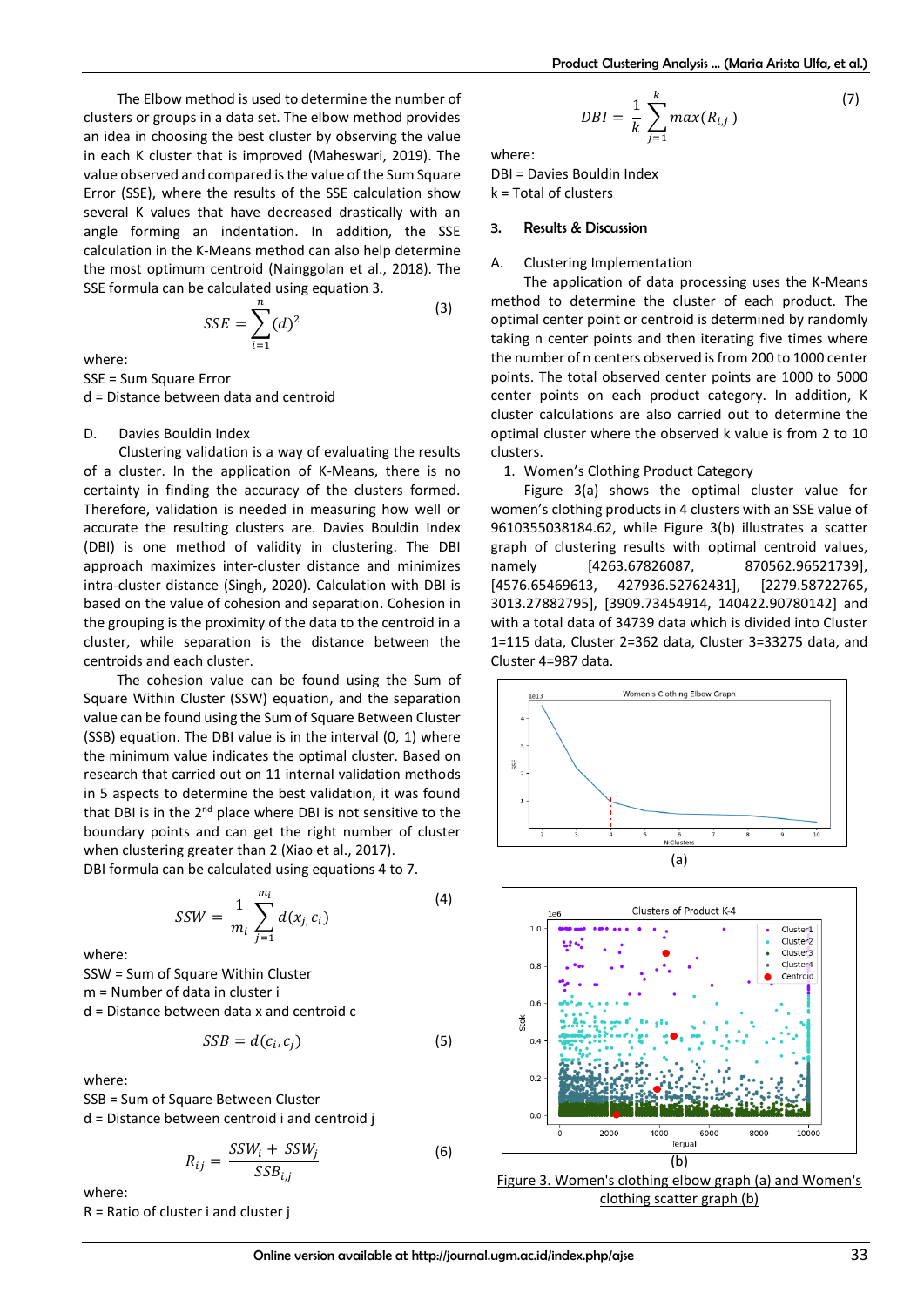The Elbow method is used to determine the number of clusters or groups in a data set. The elbow method provides an idea in choosing the best cluster by observing the value in each K cluster that is improved (Maheswari, 2019). The value observed and compared is the value of the Sum Square Error (SSE), where the results of the SSE calculation show several K values that have decreased drastically with an angle forming an indentation. In addition, the SSE calculation in the K-Means method can also help determine the most optimum centroid (Nainggolan et al., 2018). The SSE formula can be calculated using equation 3.

$$
SSE = \sum_{i=1}^{n} (d)^2
$$
 (3)

where:

SSE = Sum Square Error d = Distance between data and centroid

## D. Davies Bouldin Index

Clustering validation is a way of evaluating the results of a cluster. In the application of K-Means, there is no certainty in finding the accuracy of the clusters formed. Therefore, validation is needed in measuring how well or accurate the resulting clusters are. Davies Bouldin Index (DBI) is one method of validity in clustering. The DBI approach maximizes inter-cluster distance and minimizes intra-cluster distance (Singh, 2020). Calculation with DBI is based on the value of cohesion and separation. Cohesion in the grouping is the proximity of the data to the centroid in a cluster, while separation is the distance between the centroids and each cluster.

The cohesion value can be found using the Sum of Square Within Cluster (SSW) equation, and the separation value can be found using the Sum of Square Between Cluster (SSB) equation. The DBI value is in the interval (0, 1) where the minimum value indicates the optimal cluster. Based on research that carried out on 11 internal validation methods in 5 aspects to determine the best validation, it was found that DBI is in the 2<sup>nd</sup> place where DBI is not sensitive to the boundary points and can get the right number of cluster when clustering greater than 2 (Xiao et al., 2017). DBI formula can be calculated using equations 4 to 7.

$$
SSW = \frac{1}{m_i} \sum_{j=1}^{m_i} d(x_j, c_i)
$$
 (4)

where:

SSW = Sum of Square Within Cluster m = Number of data in cluster i d = Distance between data x and centroid c

$$
SSB = d(c_i, c_j) \tag{5}
$$

where:

SSB = Sum of Square Between Cluster d = Distance between centroid i and centroid j

$$
R_{ij} = \frac{SSW_i + SSW_j}{SSB_{i,j}}
$$
 (6)

where:

R = Ratio of cluster i and cluster j

$$
DBI = \frac{1}{k} \sum_{j=1}^{k} max(R_{i,j})
$$
 (7)

where:

DBI = Davies Bouldin Index k = Total of clusters

## 3. Results & Discussion

#### A. Clustering Implementation

The application of data processing uses the K-Means method to determine the cluster of each product. The optimal center point or centroid is determined by randomly taking n center points and then iterating five times where the number of n centers observed is from 200 to 1000 center points. The total observed center points are 1000 to 5000 center points on each product category. In addition, K cluster calculations are also carried out to determine the optimal cluster where the observed k value is from 2 to 10 clusters.

#### 1. Women's Clothing Product Category

Figure 3(a) shows the optimal cluster value for women's clothing products in 4 clusters with an SSE value of 9610355038184.62, while Figure 3(b) illustrates a scatter graph of clustering results with optimal centroid values, namely [4263.67826087, 870562.96521739] [4576.65469613, 427936.52762431], [2279.58722765, 3013.27882795], [3909.73454914, 140422.90780142] and with a total data of 34739 data which is divided into Cluster 1=115 data, Cluster 2=362 data, Cluster 3=33275 data, and Cluster 4=987 data.





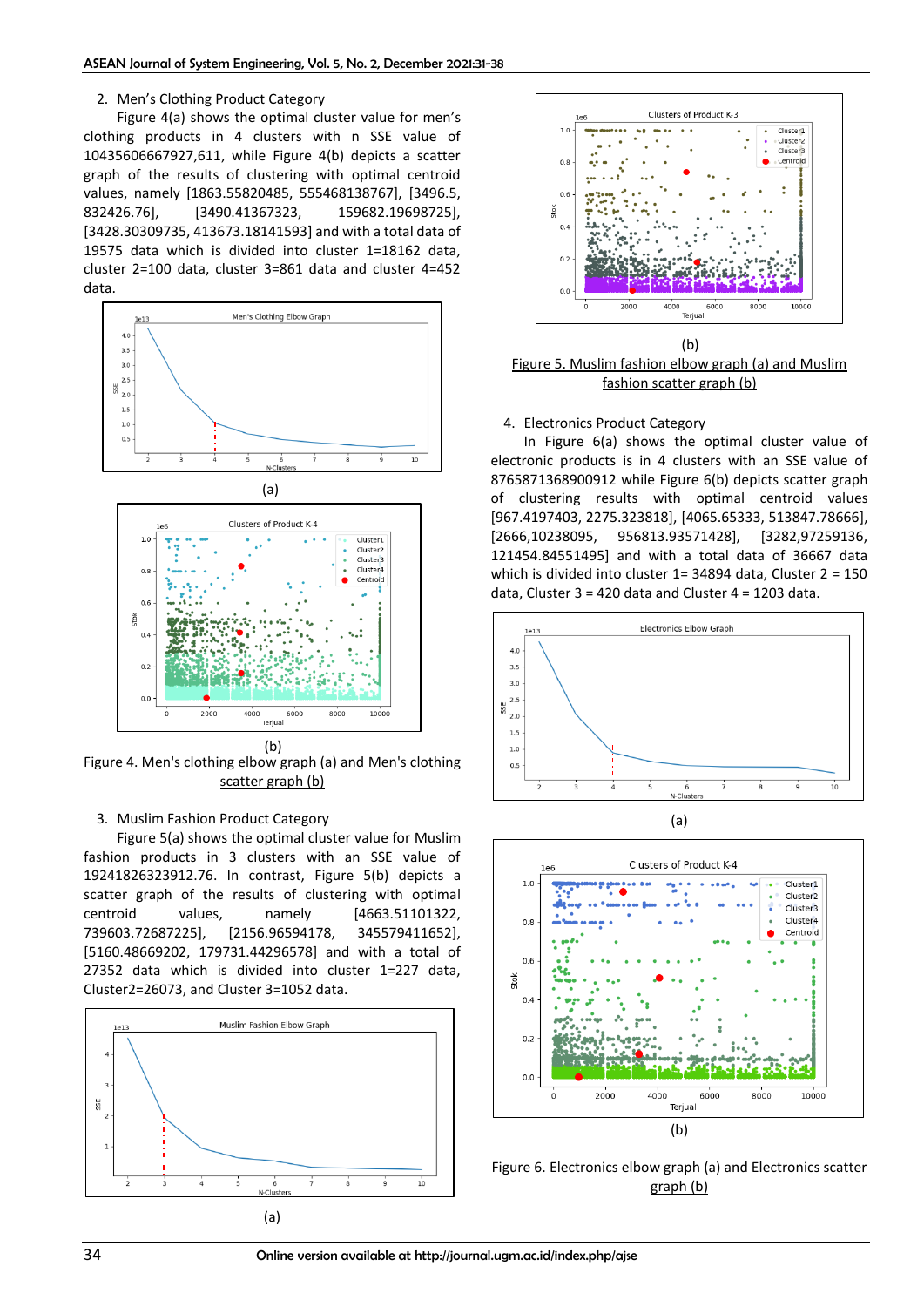#### 2. Men's Clothing Product Category

Figure 4(a) shows the optimal cluster value for men's clothing products in 4 clusters with n SSE value of 10435606667927,611, while Figure 4(b) depicts a scatter graph of the results of clustering with optimal centroid values, namely [1863.55820485, 555468138767], [3496.5, 832426.76], [3490.41367323, 159682.19698725], [3428.30309735, 413673.18141593] and with a total data of 19575 data which is divided into cluster 1=18162 data, cluster 2=100 data, cluster 3=861 data and cluster 4=452 data.



Figure 4. Men's clothing elbow graph (a) and Men's clothing scatter graph (b) (b)

## 3. Muslim Fashion Product Category

Figure 5(a) shows the optimal cluster value for Muslim fashion products in 3 clusters with an SSE value of 19241826323912.76. In contrast, Figure 5(b) depicts a scatter graph of the results of clustering with optimal centroid values, namely [4663.51101322, 739603.72687225], [2156.96594178, 345579411652], [5160.48669202, 179731.44296578] and with a total of 27352 data which is divided into cluster 1=227 data, Cluster2=26073, and Cluster 3=1052 data.





(b) Figure 5. Muslim fashion elbow graph (a) and Muslim fashion scatter graph (b)

## 4. Electronics Product Category

In Figure 6(a) shows the optimal cluster value of electronic products is in 4 clusters with an SSE value of 8765871368900912 while Figure 6(b) depicts scatter graph of clustering results with optimal centroid values [967.4197403, 2275.323818], [4065.65333, 513847.78666], [2666,10238095, 956813.93571428], [3282,97259136, 121454.84551495] and with a total data of 36667 data which is divided into cluster 1= 34894 data, Cluster 2 = 150 data, Cluster 3 = 420 data and Cluster 4 = 1203 data.



(a)



Figure 6. Electronics elbow graph (a) and Electronics scatter graph (b)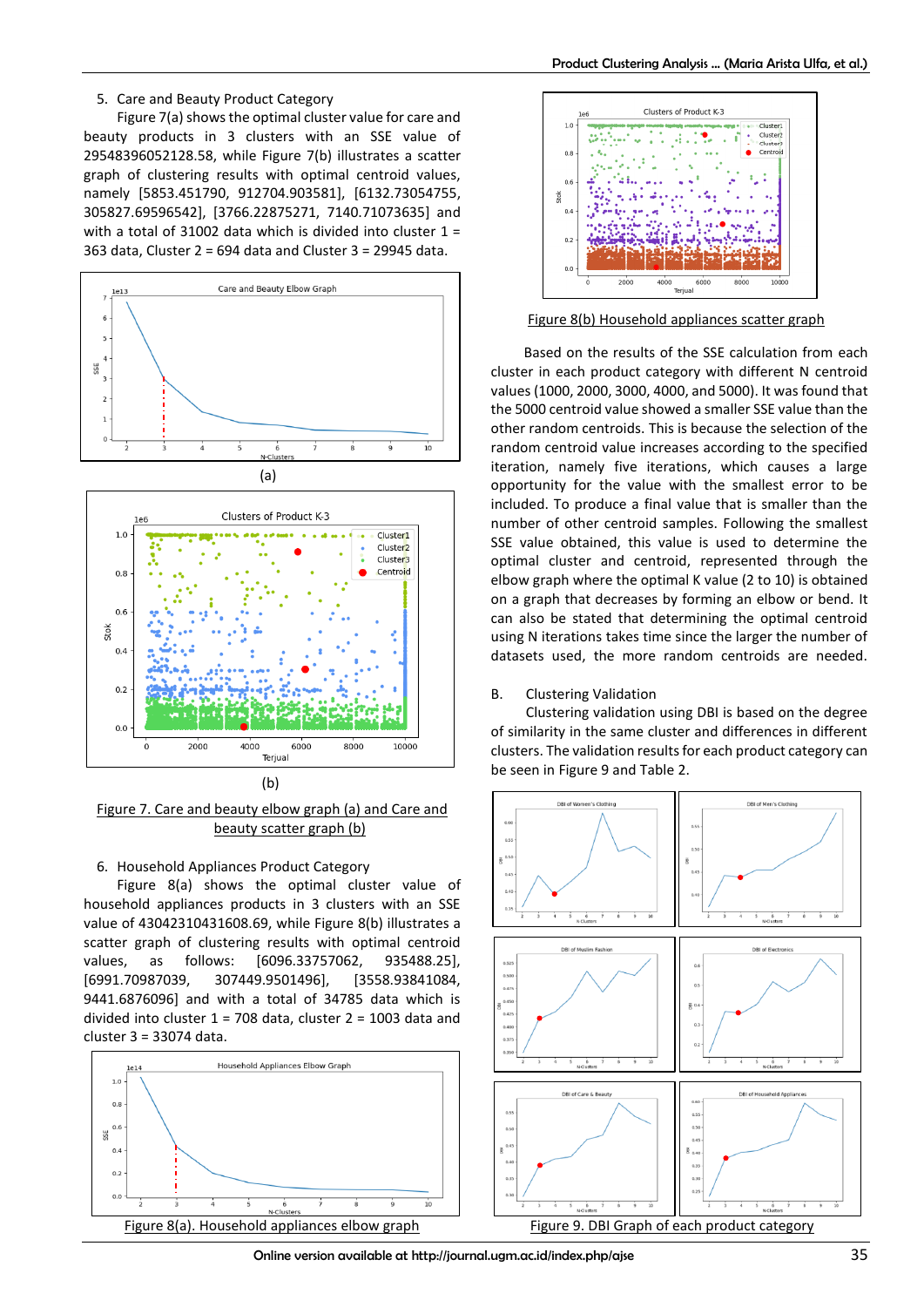#### 5. Care and Beauty Product Category

Figure 7(a) shows the optimal cluster value for care and beauty products in 3 clusters with an SSE value of 29548396052128.58, while Figure 7(b) illustrates a scatter graph of clustering results with optimal centroid values, namely [5853.451790, 912704.903581], [6132.73054755, 305827.69596542], [3766.22875271, 7140.71073635] and with a total of 31002 data which is divided into cluster  $1 =$ 363 data, Cluster 2 = 694 data and Cluster 3 = 29945 data.





Figure 7. Care and beauty elbow graph (a) and Care and beauty scatter graph (b)

## 6. Household Appliances Product Category

Figure 8(a) shows the optimal cluster value of household appliances products in 3 clusters with an SSE value of 43042310431608.69, while Figure 8(b) illustrates a scatter graph of clustering results with optimal centroid values, as follows: [6096.33757062, 935488.25], [6991.70987039, 307449.9501496], [3558.93841084, 9441.6876096] and with a total of 34785 data which is divided into cluster 1 = 708 data, cluster 2 = 1003 data and cluster 3 = 33074 data.





Figure 8(b) Household appliances scatter graph

Based on the results of the SSE calculation from each cluster in each product category with different N centroid values (1000, 2000, 3000, 4000, and 5000). It was found that the 5000 centroid value showed a smaller SSE value than the other random centroids. This is because the selection of the random centroid value increases according to the specified iteration, namely five iterations, which causes a large opportunity for the value with the smallest error to be included. To produce a final value that is smaller than the number of other centroid samples. Following the smallest SSE value obtained, this value is used to determine the optimal cluster and centroid, represented through the elbow graph where the optimal K value (2 to 10) is obtained on a graph that decreases by forming an elbow or bend. It can also be stated that determining the optimal centroid using N iterations takes time since the larger the number of datasets used, the more random centroids are needed.

#### B. Clustering Validation

Clustering validation using DBI is based on the degree of similarity in the same cluster and differences in different clusters. The validation results for each product category can be seen in Figure 9 and Table 2.



Online version available at http://journal.ugm.ac.id/index.php/ajse 35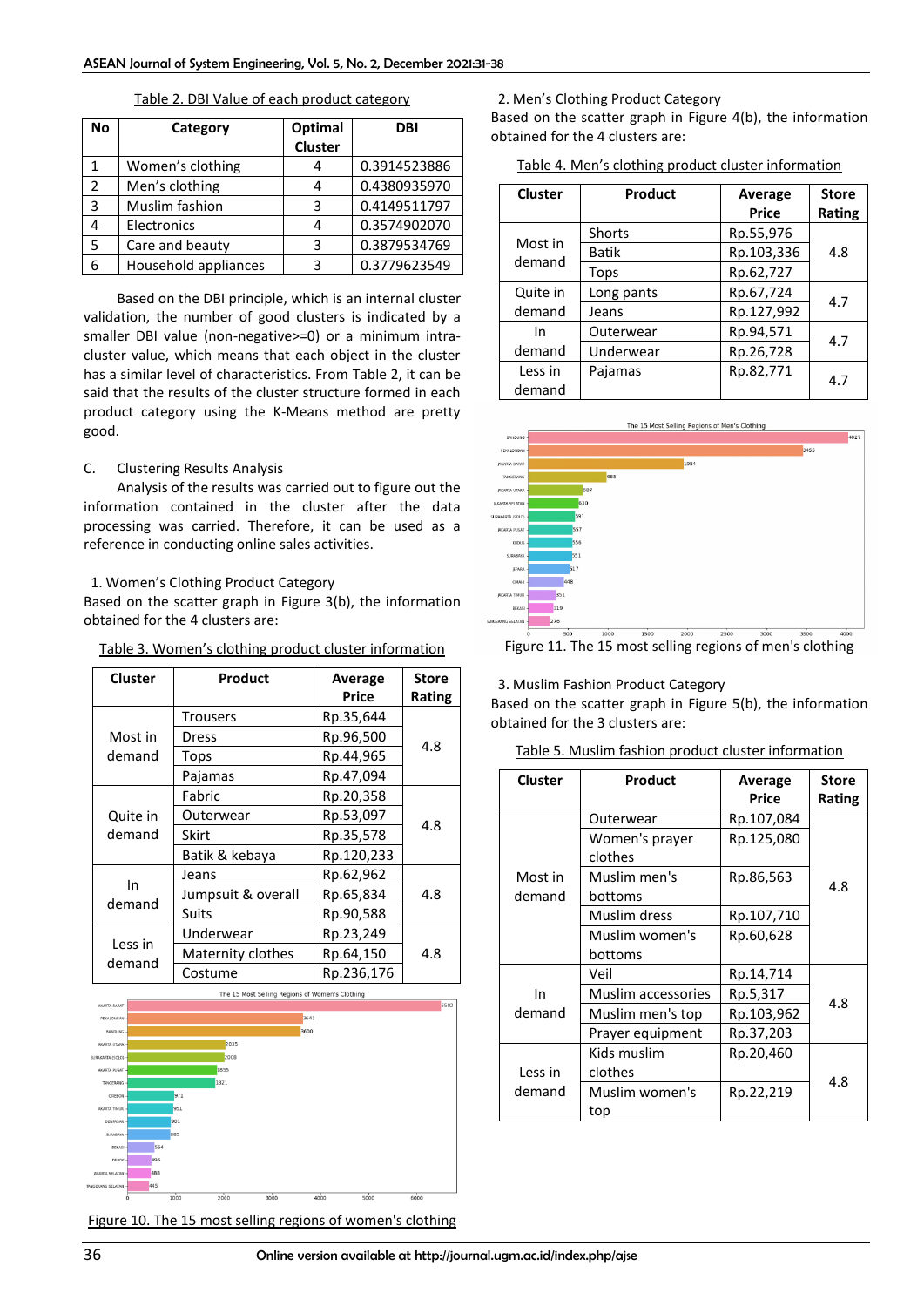| Νo            | Category             | Optimal<br>Cluster | <b>DBI</b>   |
|---------------|----------------------|--------------------|--------------|
|               | Women's clothing     |                    | 0.3914523886 |
| $\mathcal{P}$ | Men's clothing       | 4                  | 0.4380935970 |
| 3             | Muslim fashion       | 3                  | 0.4149511797 |
| 4             | Electronics          | 4                  | 0.3574902070 |
| 5             | Care and beauty      | 3                  | 0.3879534769 |
| 6             | Household appliances | 3                  | 0.3779623549 |

Table 2. DBI Value of each product category

Based on the DBI principle, which is an internal cluster validation, the number of good clusters is indicated by a smaller DBI value (non-negative>=0) or a minimum intracluster value, which means that each object in the cluster has a similar level of characteristics. From Table 2, it can be said that the results of the cluster structure formed in each product category using the K-Means method are pretty good.

## C. Clustering Results Analysis

Analysis of the results was carried out to figure out the information contained in the cluster after the data processing was carried. Therefore, it can be used as a reference in conducting online sales activities.

#### 1. Women's Clothing Product Category

Based on the scatter graph in Figure 3(b), the information obtained for the 4 clusters are:

#### Table 3. Women's clothing product cluster information

| Cluster            | Product            | Average<br>Price | <b>Store</b><br>Rating |
|--------------------|--------------------|------------------|------------------------|
|                    | Trousers           | Rp.35,644        |                        |
| Most in<br>demand  | Dress              | Rp.96,500        | 4.8                    |
|                    | Tops               | Rp.44,965        |                        |
|                    | Pajamas            | Rp.47,094        |                        |
|                    | Fabric             | Rp.20,358        |                        |
| Quite in<br>demand | Outerwear          | Rp.53,097        | 4.8                    |
|                    | Skirt              | Rp.35,578        |                        |
|                    | Batik & kebaya     | Rp.120,233       |                        |
| In                 | Jeans              | Rp.62,962        |                        |
| demand             | Jumpsuit & overall | Rp.65,834        | 4.8                    |
|                    | Suits              | Rp.90,588        |                        |
| Less in<br>demand  | Underwear          | Rp.23,249        |                        |
|                    | Maternity clothes  | Rp.64,150        | 4.8                    |
|                    | Costume            | Rp.236,176       |                        |



Figure 10. The 15 most selling regions of women's clothing

#### 2. Men's Clothing Product Category

Based on the scatter graph in Figure 4(b), the information obtained for the 4 clusters are:

|  | Table 4. Men's clothing product cluster information |  |  |  |  |
|--|-----------------------------------------------------|--|--|--|--|
|--|-----------------------------------------------------|--|--|--|--|

| Cluster  | Product      | Average<br><b>Price</b> | <b>Store</b><br>Rating |
|----------|--------------|-------------------------|------------------------|
| Most in  | Shorts       | Rp.55,976               |                        |
| demand   | <b>Batik</b> | Rp.103,336              | 4.8                    |
|          | Tops         | Rp.62,727               |                        |
| Quite in | Long pants   | Rp.67,724               | 4.7                    |
| demand   | Jeans        | Rp.127,992              |                        |
| In       | Outerwear    | Rp.94,571               | 4.7                    |
| demand   | Underwear    | Rp.26,728               |                        |
| Less in  | Pajamas      | Rp.82,771               | 4.7                    |
| demand   |              |                         |                        |



3. Muslim Fashion Product Category

Based on the scatter graph in Figure 5(b), the information obtained for the 3 clusters are:

## Table 5. Muslim fashion product cluster information

| <b>Cluster</b> | Product            | Average    | <b>Store</b> |
|----------------|--------------------|------------|--------------|
|                |                    | Price      | Rating       |
|                | Outerwear          | Rp.107,084 |              |
|                | Women's prayer     | Rp.125,080 |              |
|                | clothes            |            |              |
| Most in        | Muslim men's       | Rp.86,563  | 4.8          |
| demand         | bottoms            |            |              |
|                | Muslim dress       | Rp.107,710 |              |
|                | Muslim women's     | Rp.60,628  |              |
|                | bottoms            |            |              |
|                | Veil               | Rp.14,714  |              |
| In             | Muslim accessories | Rp.5,317   |              |
| demand         | Muslim men's top   | Rp.103,962 | 4.8          |
|                | Prayer equipment   | Rp.37,203  |              |
|                | Kids muslim        | Rp.20,460  |              |
| Less in        | clothes            |            |              |
| demand         | Muslim women's     | Rp.22,219  | 4.8          |
|                | top                |            |              |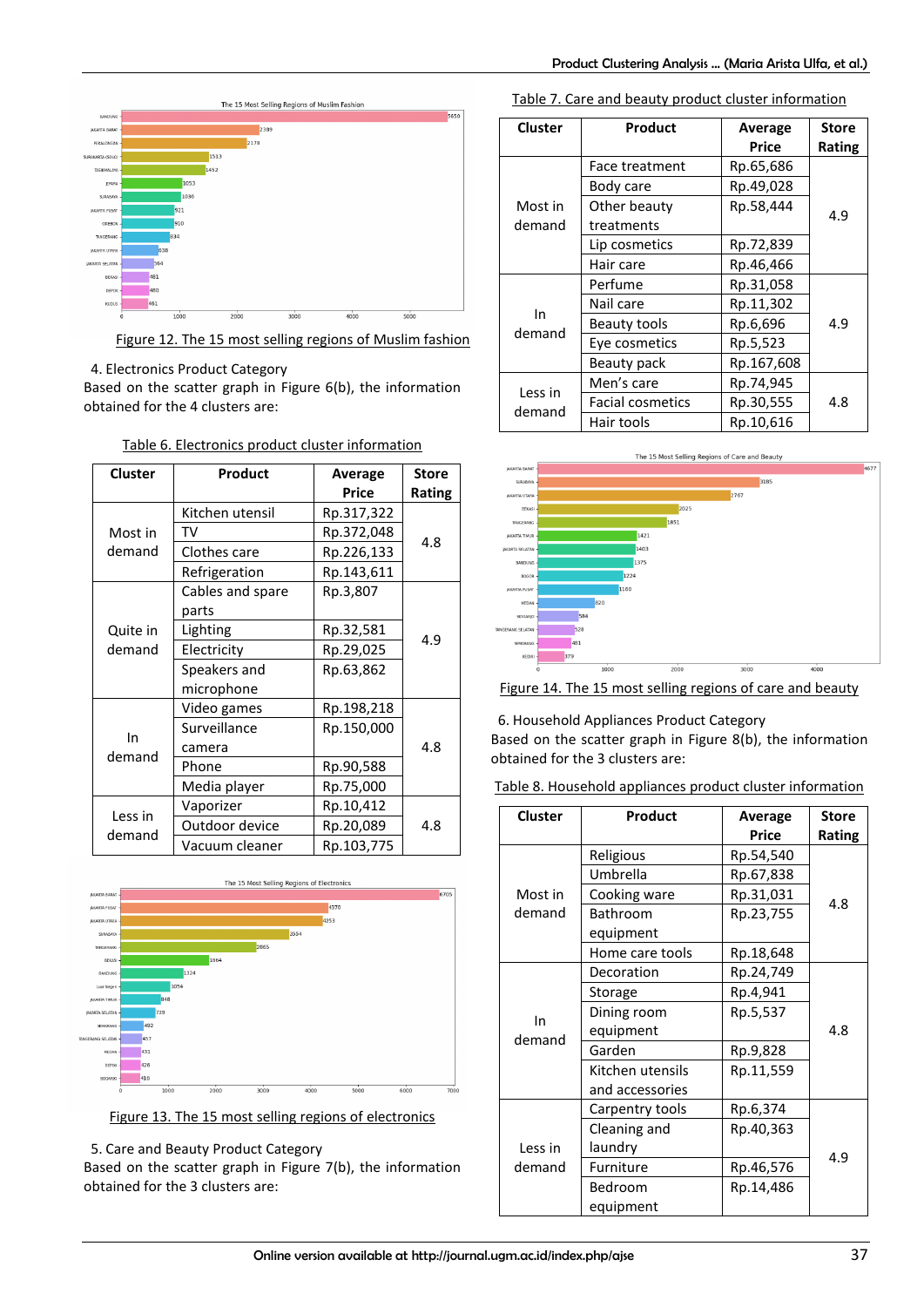

## Figure 12. The 15 most selling regions of Muslim fashion

## 4. Electronics Product Category

Based on the scatter graph in Figure 6(b), the information obtained for the 4 clusters are:

| <b>Cluster</b> | Product          | Average    | <b>Store</b> |
|----------------|------------------|------------|--------------|
|                |                  | Price      | Rating       |
|                | Kitchen utensil  | Rp.317,322 |              |
| Most in        | TV               | Rp.372,048 | 4.8          |
| demand         | Clothes care     | Rp.226,133 |              |
|                | Refrigeration    | Rp.143,611 |              |
|                | Cables and spare | Rp.3,807   |              |
|                | parts            |            |              |
| Quite in       | Lighting         | Rp.32,581  | 4.9          |
| demand         | Electricity      | Rp.29,025  |              |
|                | Speakers and     | Rp.63,862  |              |
|                | microphone       |            |              |
| In<br>demand   | Video games      | Rp.198,218 |              |
|                | Surveillance     | Rp.150,000 |              |
|                | camera           |            | 4.8          |
|                | Phone            | Rp.90,588  |              |
|                | Media player     | Rp.75,000  |              |
|                | Vaporizer        | Rp.10,412  |              |
| Less in        | Outdoor device   | Rp.20,089  | 4.8          |
| demand         | Vacuum cleaner   | Rp.103,775 |              |

## Table 6. Electronics product cluster information



Figure 13. The 15 most selling regions of electronics

5. Care and Beauty Product Category

Based on the scatter graph in Figure 7(b), the information obtained for the 3 clusters are:

Table 7. Care and beauty product cluster information

| <b>Cluster</b> | Product                 | Average<br>Price | <b>Store</b><br>Rating |
|----------------|-------------------------|------------------|------------------------|
|                | Face treatment          | Rp.65,686        |                        |
|                | Body care               | Rp.49,028        |                        |
| Most in        | Other beauty            | Rp.58,444        | 4.9                    |
| demand         | treatments              |                  |                        |
|                | Lip cosmetics           | Rp.72,839        |                        |
|                | Hair care               | Rp.46,466        |                        |
|                | Perfume                 | Rp.31,058        |                        |
|                | Nail care               | Rp.11,302        |                        |
| In<br>demand   | Beauty tools            | Rp.6,696         | 4.9                    |
|                | Eye cosmetics           | Rp.5,523         |                        |
|                | Beauty pack             | Rp.167,608       |                        |
| Less in        | Men's care              | Rp.74,945        |                        |
| demand         | <b>Facial cosmetics</b> | Rp.30,555        | 4.8                    |
|                | Hair tools              | Rp.10,616        |                        |



## Figure 14. The 15 most selling regions of care and beauty

## 6. Household Appliances Product Category

Based on the scatter graph in Figure 8(b), the information obtained for the 3 clusters are:

|  | Table 8. Household appliances product cluster information |  |  |  |
|--|-----------------------------------------------------------|--|--|--|
|--|-----------------------------------------------------------|--|--|--|

| <b>Cluster</b>    | Product          | Average   | <b>Store</b> |
|-------------------|------------------|-----------|--------------|
|                   |                  | Price     | Rating       |
|                   | Religious        | Rp.54,540 |              |
|                   | Umbrella         | Rp.67,838 |              |
| Most in           | Cooking ware     | Rp.31,031 | 4.8          |
| demand            | Bathroom         | Rp.23,755 |              |
|                   | equipment        |           |              |
|                   | Home care tools  | Rp.18,648 |              |
|                   | Decoration       | Rp.24,749 |              |
|                   | Storage          | Rp.4,941  |              |
| In                | Dining room      | Rp.5,537  |              |
| demand            | equipment        |           | 4.8          |
|                   | Garden           | Rp.9,828  |              |
|                   | Kitchen utensils | Rp.11,559 |              |
|                   | and accessories  |           |              |
|                   | Carpentry tools  | Rp.6,374  |              |
|                   | Cleaning and     | Rp.40,363 |              |
| Less in<br>demand | laundry          |           | 4.9          |
|                   | Furniture        | Rp.46,576 |              |
|                   | Bedroom          | Rp.14,486 |              |
|                   | equipment        |           |              |